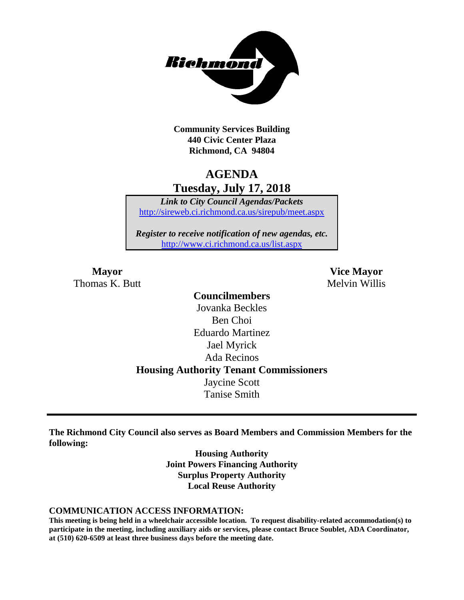

**Community Services Building 440 Civic Center Plaza Richmond, CA 94804**

## **AGENDA Tuesday, July 17, 2018**

*Link to City Council Agendas/Packets* <http://sireweb.ci.richmond.ca.us/sirepub/meet.aspx>

*Register to receive notification of new agendas, etc.* <http://www.ci.richmond.ca.us/list.aspx>

Thomas K. Butt Melvin Willis

**Mayor Vice Mayor**

**Councilmembers** Jovanka Beckles Ben Choi Eduardo Martinez Jael Myrick Ada Recinos **Housing Authority Tenant Commissioners** Jaycine Scott Tanise Smith

**The Richmond City Council also serves as Board Members and Commission Members for the following:**

> **Housing Authority Joint Powers Financing Authority Surplus Property Authority Local Reuse Authority**

#### **COMMUNICATION ACCESS INFORMATION:**

**This meeting is being held in a wheelchair accessible location. To request disability-related accommodation(s) to participate in the meeting, including auxiliary aids or services, please contact Bruce Soublet, ADA Coordinator, at (510) 620-6509 at least three business days before the meeting date.**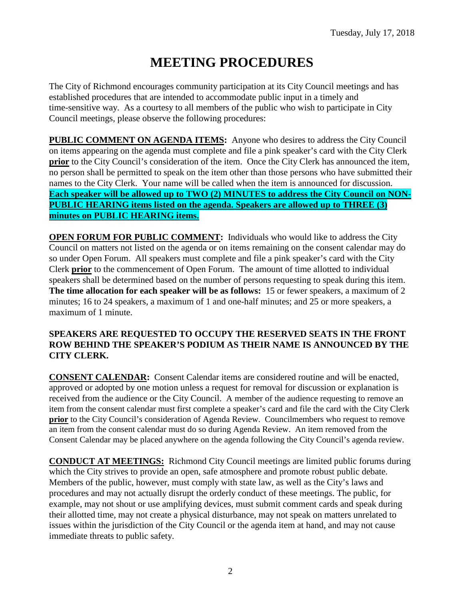# **MEETING PROCEDURES**

The City of Richmond encourages community participation at its City Council meetings and has established procedures that are intended to accommodate public input in a timely and time-sensitive way. As a courtesy to all members of the public who wish to participate in City Council meetings, please observe the following procedures:

**PUBLIC COMMENT ON AGENDA ITEMS:** Anyone who desires to address the City Council on items appearing on the agenda must complete and file a pink speaker's card with the City Clerk **prior** to the City Council's consideration of the item. Once the City Clerk has announced the item, no person shall be permitted to speak on the item other than those persons who have submitted their names to the City Clerk. Your name will be called when the item is announced for discussion. **Each speaker will be allowed up to TWO (2) MINUTES to address the City Council on NON-PUBLIC HEARING items listed on the agenda. Speakers are allowed up to THREE (3) minutes on PUBLIC HEARING items.**

**OPEN FORUM FOR PUBLIC COMMENT:** Individuals who would like to address the City Council on matters not listed on the agenda or on items remaining on the consent calendar may do so under Open Forum. All speakers must complete and file a pink speaker's card with the City Clerk **prior** to the commencement of Open Forum. The amount of time allotted to individual speakers shall be determined based on the number of persons requesting to speak during this item. **The time allocation for each speaker will be as follows:** 15 or fewer speakers, a maximum of 2 minutes; 16 to 24 speakers, a maximum of 1 and one-half minutes; and 25 or more speakers, a maximum of 1 minute.

### **SPEAKERS ARE REQUESTED TO OCCUPY THE RESERVED SEATS IN THE FRONT ROW BEHIND THE SPEAKER'S PODIUM AS THEIR NAME IS ANNOUNCED BY THE CITY CLERK.**

**CONSENT CALENDAR:** Consent Calendar items are considered routine and will be enacted, approved or adopted by one motion unless a request for removal for discussion or explanation is received from the audience or the City Council. A member of the audience requesting to remove an item from the consent calendar must first complete a speaker's card and file the card with the City Clerk **prior** to the City Council's consideration of Agenda Review. Councilmembers who request to remove an item from the consent calendar must do so during Agenda Review. An item removed from the Consent Calendar may be placed anywhere on the agenda following the City Council's agenda review.

**CONDUCT AT MEETINGS:** Richmond City Council meetings are limited public forums during which the City strives to provide an open, safe atmosphere and promote robust public debate. Members of the public, however, must comply with state law, as well as the City's laws and procedures and may not actually disrupt the orderly conduct of these meetings. The public, for example, may not shout or use amplifying devices, must submit comment cards and speak during their allotted time, may not create a physical disturbance, may not speak on matters unrelated to issues within the jurisdiction of the City Council or the agenda item at hand, and may not cause immediate threats to public safety.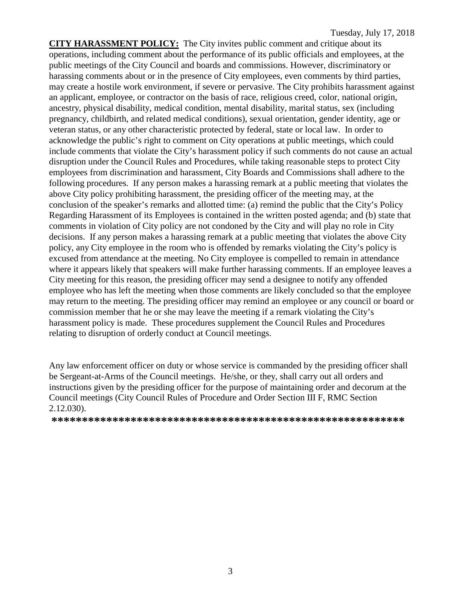**CITY HARASSMENT POLICY:** The City invites public comment and critique about its operations, including comment about the performance of its public officials and employees, at the public meetings of the City Council and boards and commissions. However, discriminatory or harassing comments about or in the presence of City employees, even comments by third parties, may create a hostile work environment, if severe or pervasive. The City prohibits harassment against an applicant, employee, or contractor on the basis of race, religious creed, color, national origin, ancestry, physical disability, medical condition, mental disability, marital status, sex (including pregnancy, childbirth, and related medical conditions), sexual orientation, gender identity, age or veteran status, or any other characteristic protected by federal, state or local law. In order to acknowledge the public's right to comment on City operations at public meetings, which could include comments that violate the City's harassment policy if such comments do not cause an actual disruption under the Council Rules and Procedures, while taking reasonable steps to protect City employees from discrimination and harassment, City Boards and Commissions shall adhere to the following procedures. If any person makes a harassing remark at a public meeting that violates the above City policy prohibiting harassment, the presiding officer of the meeting may, at the conclusion of the speaker's remarks and allotted time: (a) remind the public that the City's Policy Regarding Harassment of its Employees is contained in the written posted agenda; and (b) state that comments in violation of City policy are not condoned by the City and will play no role in City decisions. If any person makes a harassing remark at a public meeting that violates the above City policy, any City employee in the room who is offended by remarks violating the City's policy is excused from attendance at the meeting. No City employee is compelled to remain in attendance where it appears likely that speakers will make further harassing comments. If an employee leaves a City meeting for this reason, the presiding officer may send a designee to notify any offended employee who has left the meeting when those comments are likely concluded so that the employee may return to the meeting. The presiding officer may remind an employee or any council or board or commission member that he or she may leave the meeting if a remark violating the City's harassment policy is made. These procedures supplement the Council Rules and Procedures relating to disruption of orderly conduct at Council meetings.

Any law enforcement officer on duty or whose service is commanded by the presiding officer shall be Sergeant-at-Arms of the Council meetings. He/she, or they, shall carry out all orders and instructions given by the presiding officer for the purpose of maintaining order and decorum at the Council meetings (City Council Rules of Procedure and Order Section III F, RMC Section 2.12.030).

**\*\*\*\*\*\*\*\*\*\*\*\*\*\*\*\*\*\*\*\*\*\*\*\*\*\*\*\*\*\*\*\*\*\*\*\*\*\*\*\*\*\*\*\*\*\*\*\*\*\*\*\*\*\*\*\*\*\***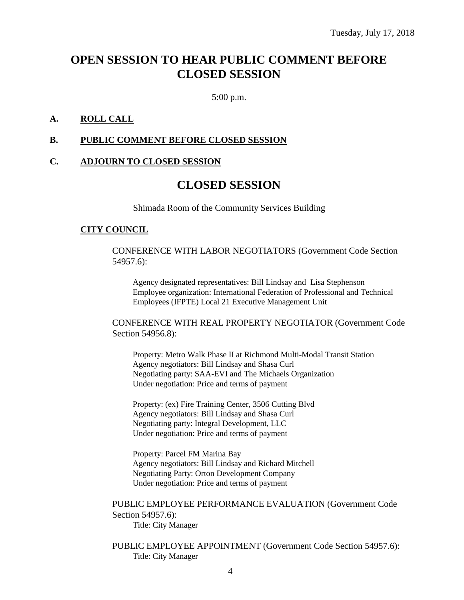## **OPEN SESSION TO HEAR PUBLIC COMMENT BEFORE CLOSED SESSION**

5:00 p.m.

### **A. ROLL CALL**

#### **B. PUBLIC COMMENT BEFORE CLOSED SESSION**

#### **C. ADJOURN TO CLOSED SESSION**

## **CLOSED SESSION**

Shimada Room of the Community Services Building

#### **CITY COUNCIL**

CONFERENCE WITH LABOR NEGOTIATORS (Government Code Section 54957.6):

Agency designated representatives: Bill Lindsay and Lisa Stephenson Employee organization: International Federation of Professional and Technical Employees (IFPTE) Local 21 Executive Management Unit

CONFERENCE WITH REAL PROPERTY NEGOTIATOR (Government Code Section 54956.8):

Property: Metro Walk Phase II at Richmond Multi-Modal Transit Station Agency negotiators: Bill Lindsay and Shasa Curl Negotiating party: SAA-EVI and The Michaels Organization Under negotiation: Price and terms of payment

Property: (ex) Fire Training Center, 3506 Cutting Blvd Agency negotiators: Bill Lindsay and Shasa Curl Negotiating party: Integral Development, LLC Under negotiation: Price and terms of payment

Property: Parcel FM Marina Bay Agency negotiators: Bill Lindsay and Richard Mitchell Negotiating Party: Orton Development Company Under negotiation: Price and terms of payment

PUBLIC EMPLOYEE PERFORMANCE EVALUATION (Government Code Section 54957.6):

Title: City Manager

PUBLIC EMPLOYEE APPOINTMENT (Government Code Section 54957.6): Title: City Manager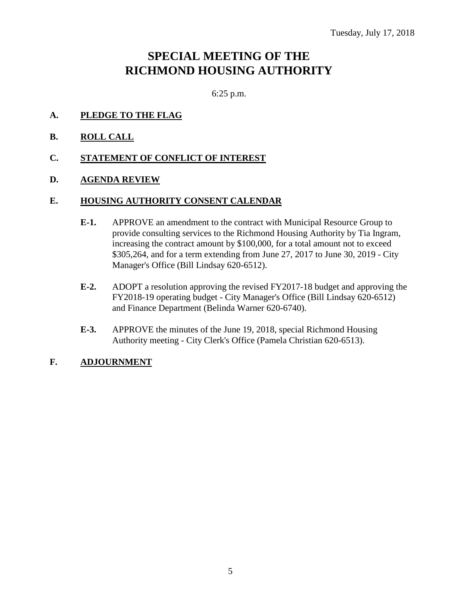## **SPECIAL MEETING OF THE RICHMOND HOUSING AUTHORITY**

6:25 p.m.

- **A. PLEDGE TO THE FLAG**
- **B. ROLL CALL**
- **C. STATEMENT OF CONFLICT OF INTEREST**
- **D. AGENDA REVIEW**

#### **E. HOUSING AUTHORITY CONSENT CALENDAR**

- **E-1.** APPROVE an amendment to the contract with Municipal Resource Group to provide consulting services to the Richmond Housing Authority by Tia Ingram, increasing the contract amount by \$100,000, for a total amount not to exceed \$305,264, and for a term extending from June 27, 2017 to June 30, 2019 - City Manager's Office (Bill Lindsay 620-6512).
- **E-2.** ADOPT a resolution approving the revised FY2017-18 budget and approving the FY2018-19 operating budget - City Manager's Office (Bill Lindsay 620-6512) and Finance Department (Belinda Warner 620-6740).
- **E-3.** APPROVE the minutes of the June 19, 2018, special Richmond Housing Authority meeting - City Clerk's Office (Pamela Christian 620-6513).

## **F. ADJOURNMENT**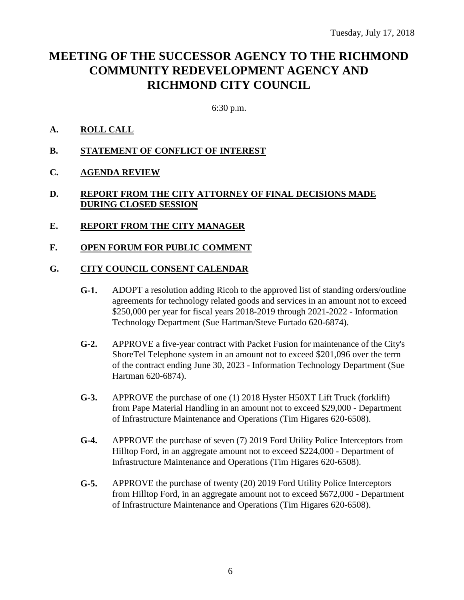## **MEETING OF THE SUCCESSOR AGENCY TO THE RICHMOND COMMUNITY REDEVELOPMENT AGENCY AND RICHMOND CITY COUNCIL**

6:30 p.m.

### **A. ROLL CALL**

- **B. STATEMENT OF CONFLICT OF INTEREST**
- **C. AGENDA REVIEW**

### **D. REPORT FROM THE CITY ATTORNEY OF FINAL DECISIONS MADE DURING CLOSED SESSION**

**E. REPORT FROM THE CITY MANAGER**

### **F. OPEN FORUM FOR PUBLIC COMMENT**

#### **G. CITY COUNCIL CONSENT CALENDAR**

- **G-1.** ADOPT a resolution adding Ricoh to the approved list of standing orders/outline agreements for technology related goods and services in an amount not to exceed \$250,000 per year for fiscal years 2018-2019 through 2021-2022 - Information Technology Department (Sue Hartman/Steve Furtado 620-6874).
- **G-2.** APPROVE a five-year contract with Packet Fusion for maintenance of the City's ShoreTel Telephone system in an amount not to exceed \$201,096 over the term of the contract ending June 30, 2023 - Information Technology Department (Sue Hartman 620-6874).
- **G-3.** APPROVE the purchase of one (1) 2018 Hyster H50XT Lift Truck (forklift) from Pape Material Handling in an amount not to exceed \$29,000 - Department of Infrastructure Maintenance and Operations (Tim Higares 620-6508).
- **G-4.** APPROVE the purchase of seven (7) 2019 Ford Utility Police Interceptors from Hilltop Ford, in an aggregate amount not to exceed \$224,000 - Department of Infrastructure Maintenance and Operations (Tim Higares 620-6508).
- **G-5.** APPROVE the purchase of twenty (20) 2019 Ford Utility Police Interceptors from Hilltop Ford, in an aggregate amount not to exceed \$672,000 - Department of Infrastructure Maintenance and Operations (Tim Higares 620-6508).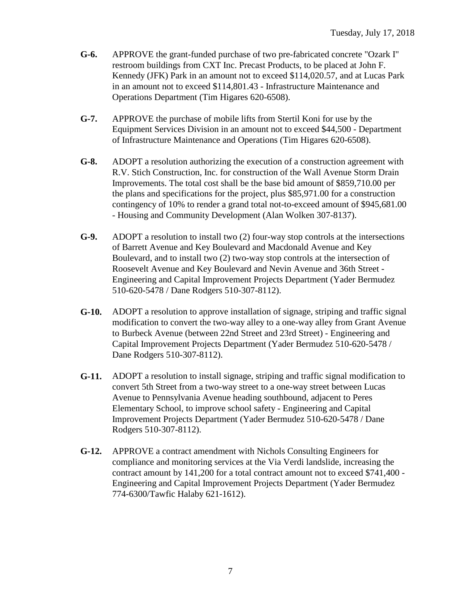- **G-6.** APPROVE the grant-funded purchase of two pre-fabricated concrete "Ozark I" restroom buildings from CXT Inc. Precast Products, to be placed at John F. Kennedy (JFK) Park in an amount not to exceed \$114,020.57, and at Lucas Park in an amount not to exceed \$114,801.43 - Infrastructure Maintenance and Operations Department (Tim Higares 620-6508).
- **G-7.** APPROVE the purchase of mobile lifts from Stertil Koni for use by the Equipment Services Division in an amount not to exceed \$44,500 - Department of Infrastructure Maintenance and Operations (Tim Higares 620-6508).
- **G-8.** ADOPT a resolution authorizing the execution of a construction agreement with R.V. Stich Construction, Inc. for construction of the Wall Avenue Storm Drain Improvements. The total cost shall be the base bid amount of \$859,710.00 per the plans and specifications for the project, plus \$85,971.00 for a construction contingency of 10% to render a grand total not-to-exceed amount of \$945,681.00 - Housing and Community Development (Alan Wolken 307-8137).
- **G-9.** ADOPT a resolution to install two (2) four-way stop controls at the intersections of Barrett Avenue and Key Boulevard and Macdonald Avenue and Key Boulevard, and to install two (2) two-way stop controls at the intersection of Roosevelt Avenue and Key Boulevard and Nevin Avenue and 36th Street - Engineering and Capital Improvement Projects Department (Yader Bermudez 510-620-5478 / Dane Rodgers 510-307-8112).
- **G-10.** ADOPT a resolution to approve installation of signage, striping and traffic signal modification to convert the two-way alley to a one-way alley from Grant Avenue to Burbeck Avenue (between 22nd Street and 23rd Street) - Engineering and Capital Improvement Projects Department (Yader Bermudez 510-620-5478 / Dane Rodgers 510-307-8112).
- **G-11.** ADOPT a resolution to install signage, striping and traffic signal modification to convert 5th Street from a two-way street to a one-way street between Lucas Avenue to Pennsylvania Avenue heading southbound, adjacent to Peres Elementary School, to improve school safety - Engineering and Capital Improvement Projects Department (Yader Bermudez 510-620-5478 / Dane Rodgers 510-307-8112).
- **G-12.** APPROVE a contract amendment with Nichols Consulting Engineers for compliance and monitoring services at the Via Verdi landslide, increasing the contract amount by 141,200 for a total contract amount not to exceed \$741,400 - Engineering and Capital Improvement Projects Department (Yader Bermudez 774-6300/Tawfic Halaby 621-1612).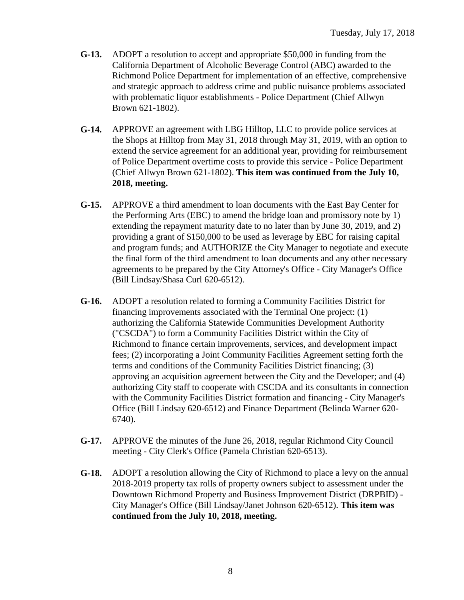- **G-13.** ADOPT a resolution to accept and appropriate \$50,000 in funding from the California Department of Alcoholic Beverage Control (ABC) awarded to the Richmond Police Department for implementation of an effective, comprehensive and strategic approach to address crime and public nuisance problems associated with problematic liquor establishments - Police Department (Chief Allwyn Brown 621-1802).
- **G-14.** APPROVE an agreement with LBG Hilltop, LLC to provide police services at the Shops at Hilltop from May 31, 2018 through May 31, 2019, with an option to extend the service agreement for an additional year, providing for reimbursement of Police Department overtime costs to provide this service - Police Department (Chief Allwyn Brown 621-1802). **This item was continued from the July 10, 2018, meeting.**
- **G-15.** APPROVE a third amendment to loan documents with the East Bay Center for the Performing Arts (EBC) to amend the bridge loan and promissory note by 1) extending the repayment maturity date to no later than by June 30, 2019, and 2) providing a grant of \$150,000 to be used as leverage by EBC for raising capital and program funds; and AUTHORIZE the City Manager to negotiate and execute the final form of the third amendment to loan documents and any other necessary agreements to be prepared by the City Attorney's Office - City Manager's Office (Bill Lindsay/Shasa Curl 620-6512).
- **G-16.** ADOPT a resolution related to forming a Community Facilities District for financing improvements associated with the Terminal One project: (1) authorizing the California Statewide Communities Development Authority ("CSCDA") to form a Community Facilities District within the City of Richmond to finance certain improvements, services, and development impact fees; (2) incorporating a Joint Community Facilities Agreement setting forth the terms and conditions of the Community Facilities District financing; (3) approving an acquisition agreement between the City and the Developer; and (4) authorizing City staff to cooperate with CSCDA and its consultants in connection with the Community Facilities District formation and financing - City Manager's Office (Bill Lindsay 620-6512) and Finance Department (Belinda Warner 620- 6740).
- **G-17.** APPROVE the minutes of the June 26, 2018, regular Richmond City Council meeting - City Clerk's Office (Pamela Christian 620-6513).
- **G-18.** ADOPT a resolution allowing the City of Richmond to place a levy on the annual 2018-2019 property tax rolls of property owners subject to assessment under the Downtown Richmond Property and Business Improvement District (DRPBID) - City Manager's Office (Bill Lindsay/Janet Johnson 620-6512). **This item was continued from the July 10, 2018, meeting.**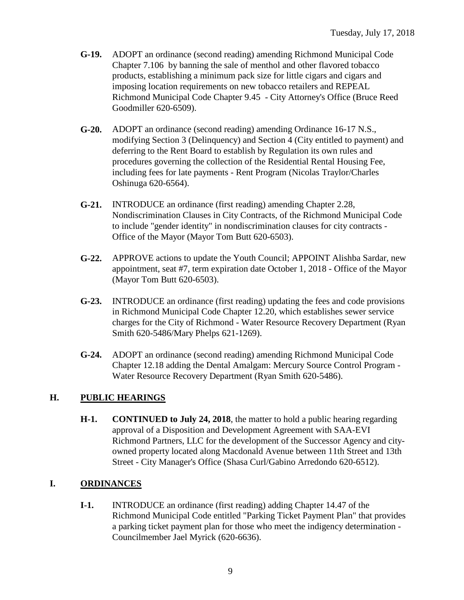- **G-19.** ADOPT an ordinance (second reading) amending Richmond Municipal Code Chapter 7.106 by banning the sale of menthol and other flavored tobacco products, establishing a minimum pack size for little cigars and cigars and imposing location requirements on new tobacco retailers and REPEAL Richmond Municipal Code Chapter 9.45 - City Attorney's Office (Bruce Reed Goodmiller 620-6509).
- **G-20.** ADOPT an ordinance (second reading) amending Ordinance 16-17 N.S., modifying Section 3 (Delinquency) and Section 4 (City entitled to payment) and deferring to the Rent Board to establish by Regulation its own rules and procedures governing the collection of the Residential Rental Housing Fee, including fees for late payments - Rent Program (Nicolas Traylor/Charles Oshinuga 620-6564).
- **G-21.** INTRODUCE an ordinance (first reading) amending Chapter 2.28, Nondiscrimination Clauses in City Contracts, of the Richmond Municipal Code to include "gender identity" in nondiscrimination clauses for city contracts - Office of the Mayor (Mayor Tom Butt 620-6503).
- **G-22.** APPROVE actions to update the Youth Council; APPOINT Alishba Sardar, new appointment, seat #7, term expiration date October 1, 2018 - Office of the Mayor (Mayor Tom Butt 620-6503).
- **G-23.** INTRODUCE an ordinance (first reading) updating the fees and code provisions in Richmond Municipal Code Chapter 12.20, which establishes sewer service charges for the City of Richmond - Water Resource Recovery Department (Ryan Smith 620-5486/Mary Phelps 621-1269).
- **G-24.** ADOPT an ordinance (second reading) amending Richmond Municipal Code Chapter 12.18 adding the Dental Amalgam: Mercury Source Control Program - Water Resource Recovery Department (Ryan Smith 620-5486).

## **H. PUBLIC HEARINGS**

**H-1. CONTINUED to July 24, 2018**, the matter to hold a public hearing regarding approval of a Disposition and Development Agreement with SAA-EVI Richmond Partners, LLC for the development of the Successor Agency and cityowned property located along Macdonald Avenue between 11th Street and 13th Street - City Manager's Office (Shasa Curl/Gabino Arredondo 620-6512).

## **I. ORDINANCES**

**I-1.** INTRODUCE an ordinance (first reading) adding Chapter 14.47 of the Richmond Municipal Code entitled "Parking Ticket Payment Plan" that provides a parking ticket payment plan for those who meet the indigency determination - Councilmember Jael Myrick (620-6636).